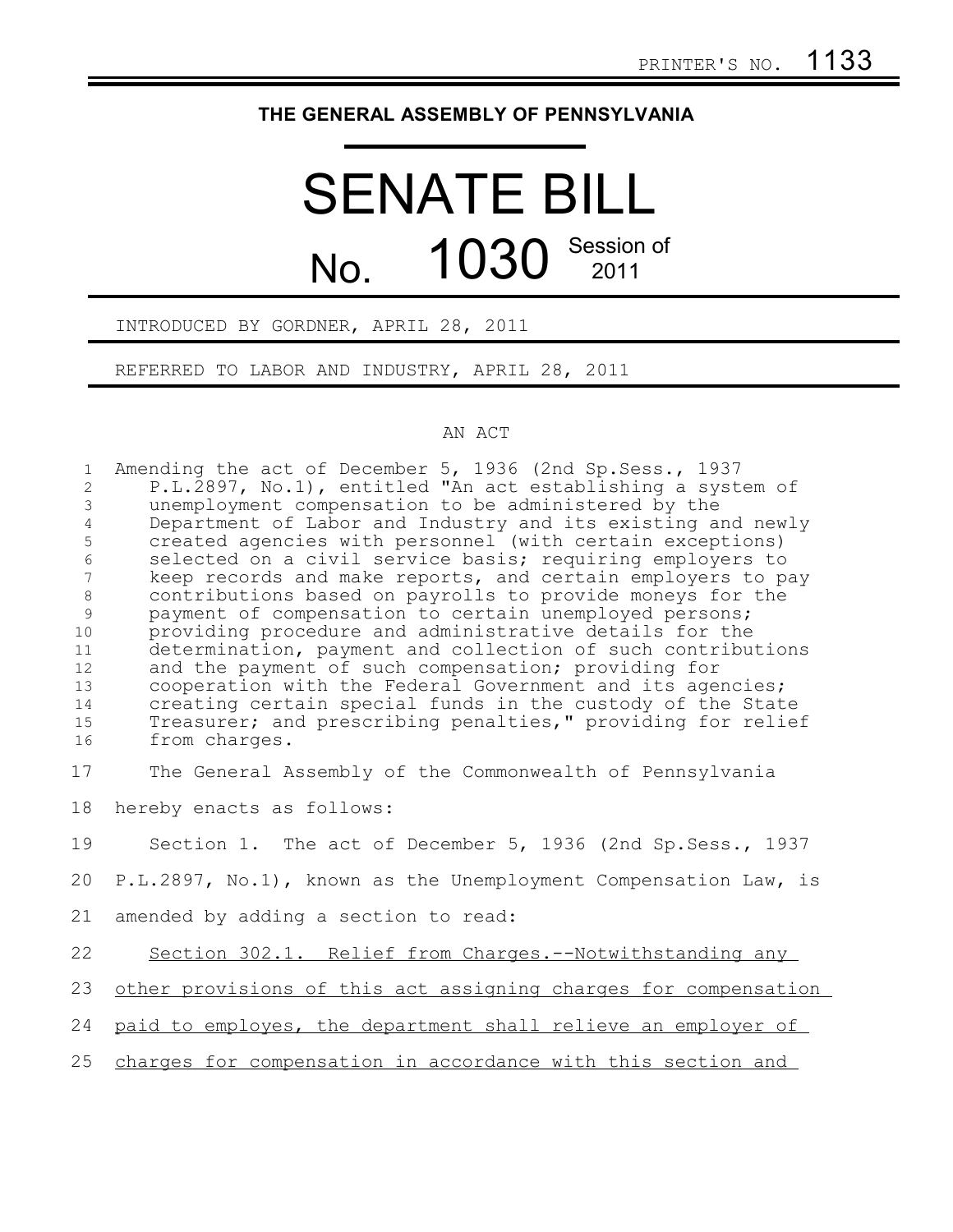## **THE GENERAL ASSEMBLY OF PENNSYLVANIA**

## SENATE BILL No. 1030 Session of

## INTRODUCED BY GORDNER, APRIL 28, 2011

REFERRED TO LABOR AND INDUSTRY, APRIL 28, 2011

## AN ACT

| $\mathbf{1}$<br>$\overline{2}$<br>$\mathfrak{Z}$<br>$\overline{4}$<br>5<br>6<br>7<br>$\,8\,$<br>$\mathcal{G}$<br>10<br>11<br>12<br>13<br>14<br>15<br>16 | Amending the act of December 5, 1936 (2nd Sp. Sess., 1937<br>P.L.2897, No.1), entitled "An act establishing a system of<br>unemployment compensation to be administered by the<br>Department of Labor and Industry and its existing and newly<br>created agencies with personnel (with certain exceptions)<br>selected on a civil service basis; requiring employers to<br>keep records and make reports, and certain employers to pay<br>contributions based on payrolls to provide moneys for the<br>payment of compensation to certain unemployed persons;<br>providing procedure and administrative details for the<br>determination, payment and collection of such contributions<br>and the payment of such compensation; providing for<br>cooperation with the Federal Government and its agencies;<br>creating certain special funds in the custody of the State<br>Treasurer; and prescribing penalties," providing for relief<br>from charges. |
|---------------------------------------------------------------------------------------------------------------------------------------------------------|----------------------------------------------------------------------------------------------------------------------------------------------------------------------------------------------------------------------------------------------------------------------------------------------------------------------------------------------------------------------------------------------------------------------------------------------------------------------------------------------------------------------------------------------------------------------------------------------------------------------------------------------------------------------------------------------------------------------------------------------------------------------------------------------------------------------------------------------------------------------------------------------------------------------------------------------------------|
| 17                                                                                                                                                      | The General Assembly of the Commonwealth of Pennsylvania                                                                                                                                                                                                                                                                                                                                                                                                                                                                                                                                                                                                                                                                                                                                                                                                                                                                                                 |
| 18                                                                                                                                                      | hereby enacts as follows:                                                                                                                                                                                                                                                                                                                                                                                                                                                                                                                                                                                                                                                                                                                                                                                                                                                                                                                                |
| 19                                                                                                                                                      | Section 1. The act of December 5, 1936 (2nd Sp. Sess., 1937                                                                                                                                                                                                                                                                                                                                                                                                                                                                                                                                                                                                                                                                                                                                                                                                                                                                                              |
| 20                                                                                                                                                      | P.L.2897, No.1), known as the Unemployment Compensation Law, is                                                                                                                                                                                                                                                                                                                                                                                                                                                                                                                                                                                                                                                                                                                                                                                                                                                                                          |
| 21                                                                                                                                                      | amended by adding a section to read:                                                                                                                                                                                                                                                                                                                                                                                                                                                                                                                                                                                                                                                                                                                                                                                                                                                                                                                     |
| 22                                                                                                                                                      | Section 302.1. Relief from Charges.--Notwithstanding any                                                                                                                                                                                                                                                                                                                                                                                                                                                                                                                                                                                                                                                                                                                                                                                                                                                                                                 |
| 23                                                                                                                                                      | other provisions of this act assigning charges for compensation                                                                                                                                                                                                                                                                                                                                                                                                                                                                                                                                                                                                                                                                                                                                                                                                                                                                                          |
| 24                                                                                                                                                      | paid to employes, the department shall relieve an employer of                                                                                                                                                                                                                                                                                                                                                                                                                                                                                                                                                                                                                                                                                                                                                                                                                                                                                            |
| 25                                                                                                                                                      | charges for compensation in accordance with this section and                                                                                                                                                                                                                                                                                                                                                                                                                                                                                                                                                                                                                                                                                                                                                                                                                                                                                             |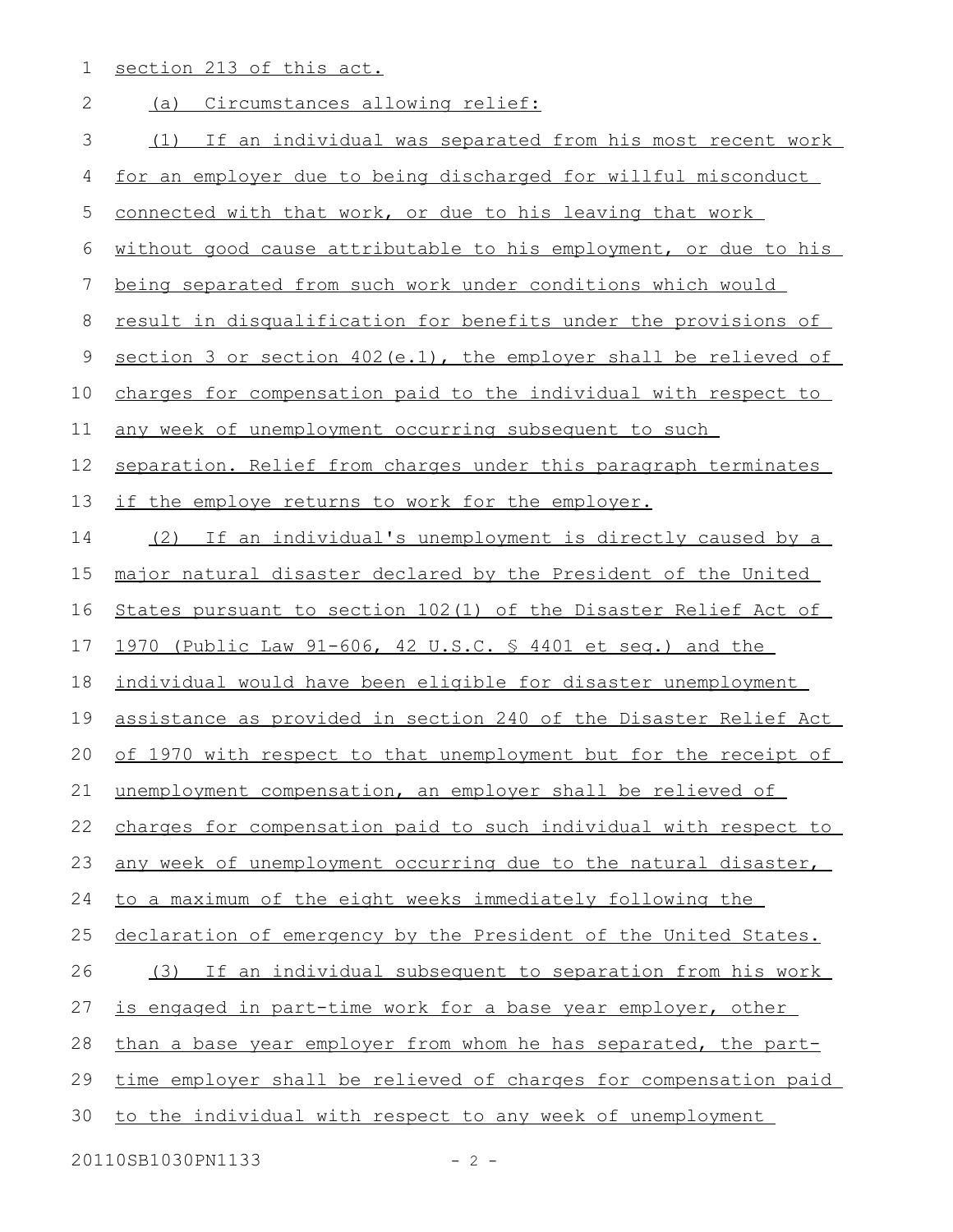1 section 213 of this act.

| $\mathbf{2}$ | Circumstances allowing relief:<br>(a)                            |
|--------------|------------------------------------------------------------------|
| 3            | (1) If an individual was separated from his most recent work     |
| 4            | for an employer due to being discharged for willful misconduct   |
| 5            | connected with that work, or due to his leaving that work        |
| 6            | without good cause attributable to his employment, or due to his |
| 7            | being separated from such work under conditions which would      |
| 8            | result in disqualification for benefits under the provisions of  |
| 9            | section 3 or section 402(e.1), the employer shall be relieved of |
| 10           | charges for compensation paid to the individual with respect to  |
| 11           | any week of unemployment occurring subsequent to such            |
| 12           | separation. Relief from charges under this paragraph terminates  |
| 13           | if the employe returns to work for the employer.                 |
| 14           | (2) If an individual's unemployment is directly caused by a      |
| 15           | major natural disaster declared by the President of the United   |
| 16           | States pursuant to section 102(1) of the Disaster Relief Act of  |
| 17           | 1970 (Public Law 91-606, 42 U.S.C. § 4401 et seq.) and the       |
| 18           | individual would have been eligible for disaster unemployment    |
| 19           | assistance as provided in section 240 of the Disaster Relief Act |
| 20           | of 1970 with respect to that unemployment but for the receipt of |
| 21           | unemployment compensation, an employer shall be relieved of      |
| 22           | charges for compensation paid to such individual with respect to |
| 23           | any week of unemployment occurring due to the natural disaster,  |
| 24           | to a maximum of the eight weeks immediately following the        |
| 25           | declaration of emergency by the President of the United States.  |
| 26           | (3) If an individual subsequent to separation from his work      |
| 27           | is engaged in part-time work for a base year employer, other     |
| 28           | than a base year employer from whom he has separated, the part-  |
| 29           | time employer shall be relieved of charges for compensation paid |
| 30           | to the individual with respect to any week of unemployment       |
|              | 20110SB1030PN1133<br>$-2 -$                                      |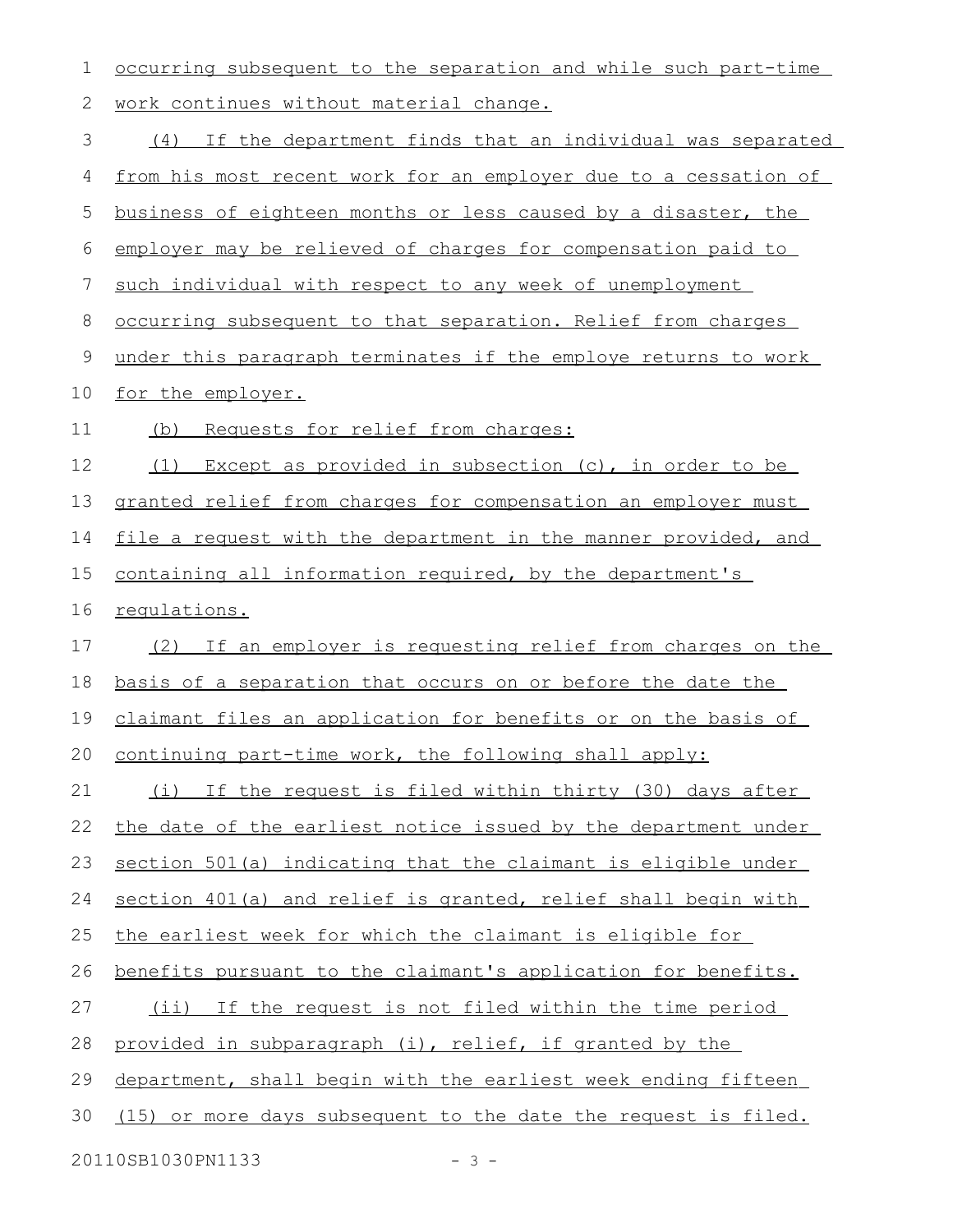| 1  | occurring subsequent to the separation and while such part-time    |
|----|--------------------------------------------------------------------|
| 2  | work continues without material change.                            |
| 3  | (4) If the department finds that an individual was separated       |
| 4  | from his most recent work for an employer due to a cessation of    |
| 5  | business of eighteen months or less caused by a disaster, the      |
| 6  | employer may be relieved of charges for compensation paid to       |
| 7  | such individual with respect to any week of unemployment           |
| 8  | occurring subsequent to that separation. Relief from charges       |
| 9  | under this paragraph terminates if the employe returns to work     |
| 10 | for the employer.                                                  |
| 11 | Requests for relief from charges:<br>(b)                           |
| 12 | Except as provided in subsection (c), in order to be<br>(1)        |
| 13 | granted relief from charges for compensation an employer must      |
| 14 | file a request with the department in the manner provided, and     |
| 15 | containing all information required, by the department's           |
| 16 | requlations.                                                       |
| 17 | (2) If an employer is requesting relief from charges on the        |
| 18 | <u>basis of a separation that occurs on or before the date the</u> |
| 19 | claimant files an application for benefits or on the basis of      |
|    | 20 continuing part-time work, the following shall apply:           |
| 21 | (i) If the request is filed within thirty (30) days after          |
| 22 | the date of the earliest notice issued by the department under     |
| 23 | section 501(a) indicating that the claimant is eligible under      |
| 24 | section 401(a) and relief is granted, relief shall begin with      |
| 25 | the earliest week for which the claimant is eligible for           |
| 26 | benefits pursuant to the claimant's application for benefits.      |
| 27 | (ii) If the request is not filed within the time period            |
| 28 | provided in subparagraph (i), relief, if granted by the            |
| 29 | department, shall begin with the earliest week ending fifteen      |
| 30 | (15) or more days subsequent to the date the request is filed.     |
|    | 20110SB1030PN1133<br>$-3 -$                                        |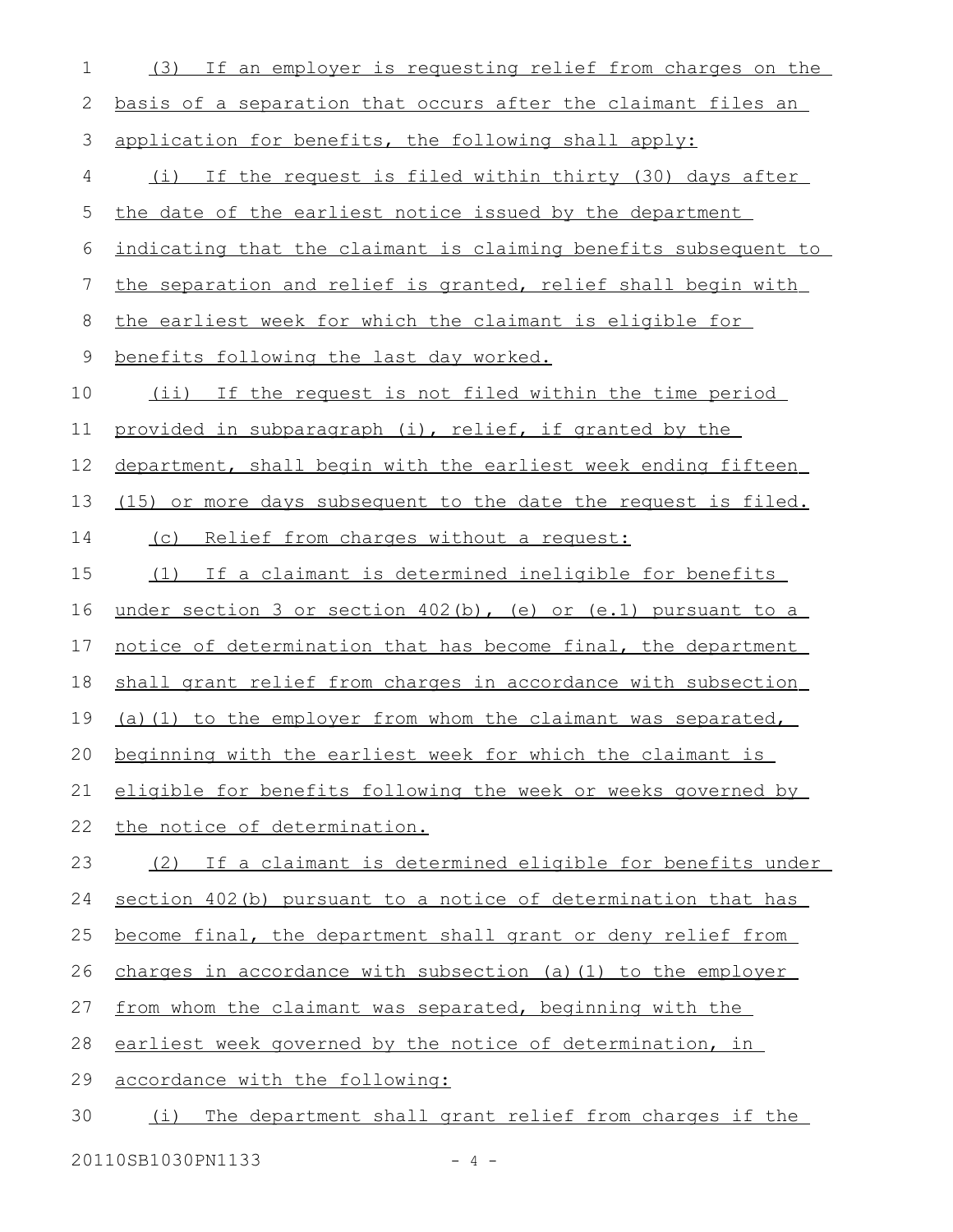| 1  | If an employer is requesting relief from charges on the<br>(3)   |
|----|------------------------------------------------------------------|
| 2  | basis of a separation that occurs after the claimant files an    |
| 3  | application for benefits, the following shall apply:             |
| 4  | (i) If the request is filed within thirty (30) days after        |
| 5  | the date of the earliest notice issued by the department         |
| 6  | indicating that the claimant is claiming benefits subsequent to  |
| 7  | the separation and relief is granted, relief shall begin with    |
| 8  | the earliest week for which the claimant is eligible for         |
| 9  | benefits following the last day worked.                          |
| 10 | (ii) If the request is not filed within the time period          |
| 11 | provided in subparagraph (i), relief, if granted by the          |
| 12 | department, shall begin with the earliest week ending fifteen    |
| 13 | (15) or more days subsequent to the date the request is filed.   |
| 14 | (c) Relief from charges without a request:                       |
| 15 | (1) If a claimant is determined ineligible for benefits          |
| 16 | under section 3 or section $402(b)$ , (e) or (e.1) pursuant to a |
| 17 | notice of determination that has become final, the department    |
| 18 | shall grant relief from charges in accordance with subsection    |
| 19 | (a) (1) to the employer from whom the claimant was separated,    |
| 20 | beginning with the earliest week for which the claimant is       |
| 21 | eligible for benefits following the week or weeks governed by    |
| 22 | the notice of determination.                                     |
| 23 | (2) If a claimant is determined eligible for benefits under      |
| 24 | section 402(b) pursuant to a notice of determination that has    |
| 25 | become final, the department shall grant or deny relief from     |
| 26 | charges in accordance with subsection (a) (1) to the employer    |
| 27 | from whom the claimant was separated, beginning with the         |
| 28 | earliest week governed by the notice of determination, in        |
| 29 | accordance with the following:                                   |
| 30 | The department shall grant relief from charges if the<br>(i)     |
|    |                                                                  |

20110SB1030PN1133 - 4 -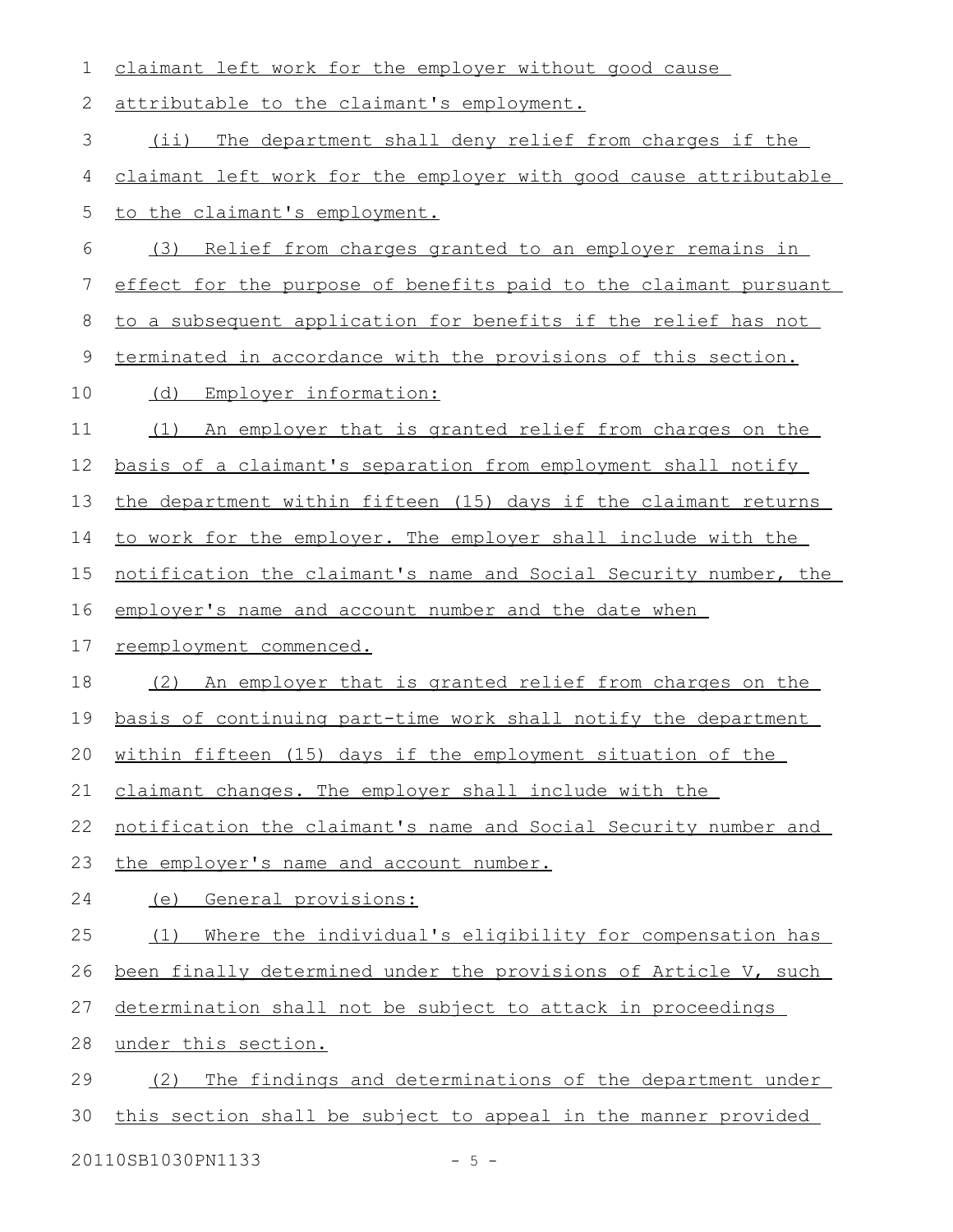| 1  | claimant left work for the employer without good cause           |
|----|------------------------------------------------------------------|
| 2  | attributable to the claimant's employment.                       |
| 3  | The department shall deny relief from charges if the<br>$(i$ i)  |
| 4  | claimant left work for the employer with good cause attributable |
| 5  | to the claimant's employment.                                    |
| 6  | (3)<br>Relief from charges granted to an employer remains in     |
| 7  | effect for the purpose of benefits paid to the claimant pursuant |
| 8  | to a subsequent application for benefits if the relief has not   |
| 9  | terminated in accordance with the provisions of this section.    |
| 10 | (d) Employer information:                                        |
| 11 | An employer that is granted relief from charges on the<br>(1)    |
| 12 | basis of a claimant's separation from employment shall notify    |
| 13 | the department within fifteen (15) days if the claimant returns  |
| 14 | to work for the employer. The employer shall include with the    |
| 15 | notification the claimant's name and Social Security number, the |
| 16 | employer's name and account number and the date when             |
| 17 | reemployment commenced.                                          |
| 18 | (2) An employer that is granted relief from charges on the       |
| 19 | basis of continuing part-time work shall notify the department   |
| 20 | within fifteen (15) days if the employment situation of the      |
| 21 | claimant changes. The employer shall include with the            |
| 22 | notification the claimant's name and Social Security number and  |
| 23 | the employer's name and account number.                          |
| 24 | General provisions:<br>(e)                                       |
| 25 | Where the individual's eligibility for compensation has<br>(1)   |
| 26 | been finally determined under the provisions of Article V, such  |
| 27 | determination shall not be subject to attack in proceedings      |
| 28 | under this section.                                              |
| 29 | The findings and determinations of the department under<br>(2)   |
| 30 | this section shall be subject to appeal in the manner provided   |
|    | 20110SB1030PN1133<br>$-5 -$                                      |